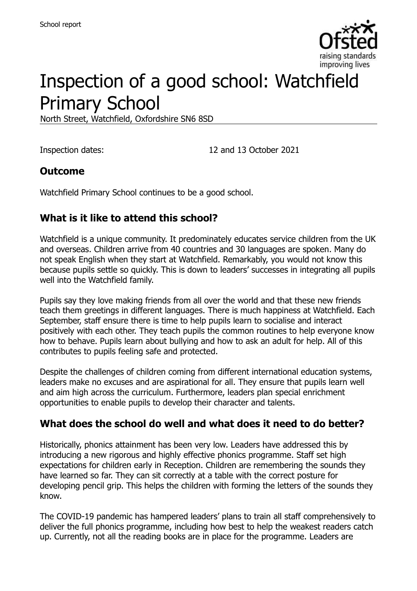

# Inspection of a good school: Watchfield Primary School

North Street, Watchfield, Oxfordshire SN6 8SD

Inspection dates: 12 and 13 October 2021

#### **Outcome**

Watchfield Primary School continues to be a good school.

## **What is it like to attend this school?**

Watchfield is a unique community. It predominately educates service children from the UK and overseas. Children arrive from 40 countries and 30 languages are spoken. Many do not speak English when they start at Watchfield. Remarkably, you would not know this because pupils settle so quickly. This is down to leaders' successes in integrating all pupils well into the Watchfield family.

Pupils say they love making friends from all over the world and that these new friends teach them greetings in different languages. There is much happiness at Watchfield. Each September, staff ensure there is time to help pupils learn to socialise and interact positively with each other. They teach pupils the common routines to help everyone know how to behave. Pupils learn about bullying and how to ask an adult for help. All of this contributes to pupils feeling safe and protected.

Despite the challenges of children coming from different international education systems, leaders make no excuses and are aspirational for all. They ensure that pupils learn well and aim high across the curriculum. Furthermore, leaders plan special enrichment opportunities to enable pupils to develop their character and talents.

#### **What does the school do well and what does it need to do better?**

Historically, phonics attainment has been very low. Leaders have addressed this by introducing a new rigorous and highly effective phonics programme. Staff set high expectations for children early in Reception. Children are remembering the sounds they have learned so far. They can sit correctly at a table with the correct posture for developing pencil grip. This helps the children with forming the letters of the sounds they know.

The COVID-19 pandemic has hampered leaders' plans to train all staff comprehensively to deliver the full phonics programme, including how best to help the weakest readers catch up. Currently, not all the reading books are in place for the programme. Leaders are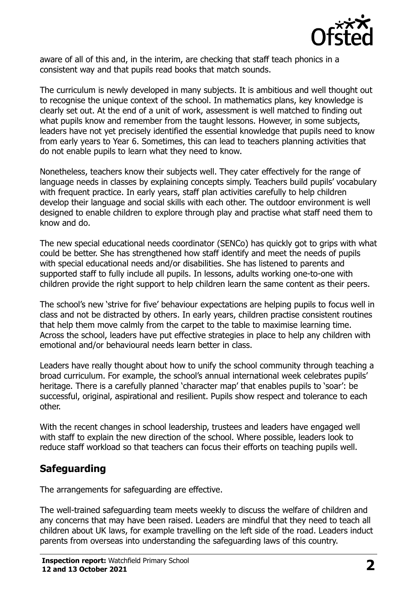

aware of all of this and, in the interim, are checking that staff teach phonics in a consistent way and that pupils read books that match sounds.

The curriculum is newly developed in many subjects. It is ambitious and well thought out to recognise the unique context of the school. In mathematics plans, key knowledge is clearly set out. At the end of a unit of work, assessment is well matched to finding out what pupils know and remember from the taught lessons. However, in some subjects, leaders have not yet precisely identified the essential knowledge that pupils need to know from early years to Year 6. Sometimes, this can lead to teachers planning activities that do not enable pupils to learn what they need to know.

Nonetheless, teachers know their subjects well. They cater effectively for the range of language needs in classes by explaining concepts simply. Teachers build pupils' vocabulary with frequent practice. In early years, staff plan activities carefully to help children develop their language and social skills with each other. The outdoor environment is well designed to enable children to explore through play and practise what staff need them to know and do.

The new special educational needs coordinator (SENCo) has quickly got to grips with what could be better. She has strengthened how staff identify and meet the needs of pupils with special educational needs and/or disabilities. She has listened to parents and supported staff to fully include all pupils. In lessons, adults working one-to-one with children provide the right support to help children learn the same content as their peers.

The school's new 'strive for five' behaviour expectations are helping pupils to focus well in class and not be distracted by others. In early years, children practise consistent routines that help them move calmly from the carpet to the table to maximise learning time. Across the school, leaders have put effective strategies in place to help any children with emotional and/or behavioural needs learn better in class.

Leaders have really thought about how to unify the school community through teaching a broad curriculum. For example, the school's annual international week celebrates pupils' heritage. There is a carefully planned 'character map' that enables pupils to 'soar': be successful, original, aspirational and resilient. Pupils show respect and tolerance to each other.

With the recent changes in school leadership, trustees and leaders have engaged well with staff to explain the new direction of the school. Where possible, leaders look to reduce staff workload so that teachers can focus their efforts on teaching pupils well.

## **Safeguarding**

The arrangements for safeguarding are effective.

The well-trained safeguarding team meets weekly to discuss the welfare of children and any concerns that may have been raised. Leaders are mindful that they need to teach all children about UK laws, for example travelling on the left side of the road. Leaders induct parents from overseas into understanding the safeguarding laws of this country.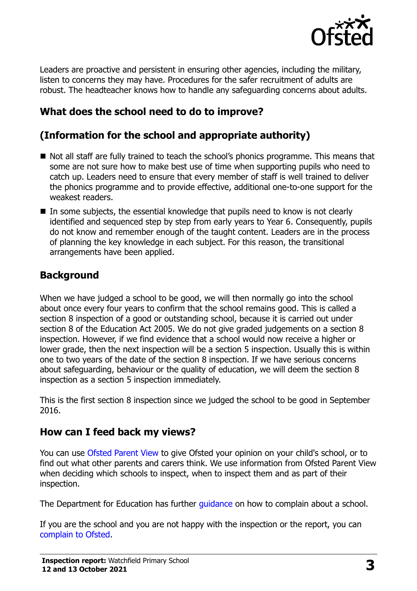

Leaders are proactive and persistent in ensuring other agencies, including the military, listen to concerns they may have. Procedures for the safer recruitment of adults are robust. The headteacher knows how to handle any safeguarding concerns about adults.

## **What does the school need to do to improve?**

## **(Information for the school and appropriate authority)**

- Not all staff are fully trained to teach the school's phonics programme. This means that some are not sure how to make best use of time when supporting pupils who need to catch up. Leaders need to ensure that every member of staff is well trained to deliver the phonics programme and to provide effective, additional one-to-one support for the weakest readers.
- In some subjects, the essential knowledge that pupils need to know is not clearly identified and sequenced step by step from early years to Year 6. Consequently, pupils do not know and remember enough of the taught content. Leaders are in the process of planning the key knowledge in each subject. For this reason, the transitional arrangements have been applied.

#### **Background**

When we have judged a school to be good, we will then normally go into the school about once every four years to confirm that the school remains good. This is called a section 8 inspection of a good or outstanding school, because it is carried out under section 8 of the Education Act 2005. We do not give graded judgements on a section 8 inspection. However, if we find evidence that a school would now receive a higher or lower grade, then the next inspection will be a section 5 inspection. Usually this is within one to two years of the date of the section 8 inspection. If we have serious concerns about safeguarding, behaviour or the quality of education, we will deem the section 8 inspection as a section 5 inspection immediately.

This is the first section 8 inspection since we judged the school to be good in September 2016.

#### **How can I feed back my views?**

You can use [Ofsted Parent View](https://parentview.ofsted.gov.uk/) to give Ofsted your opinion on your child's school, or to find out what other parents and carers think. We use information from Ofsted Parent View when deciding which schools to inspect, when to inspect them and as part of their inspection.

The Department for Education has further [guidance](http://www.gov.uk/complain-about-school) on how to complain about a school.

If you are the school and you are not happy with the inspection or the report, you can [complain to Ofsted.](https://www.gov.uk/complain-ofsted-report)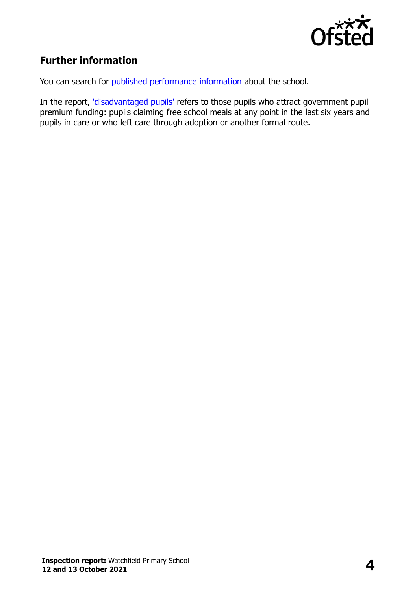

## **Further information**

You can search for [published performance information](http://www.compare-school-performance.service.gov.uk/) about the school.

In the report, ['disadvantaged pupils'](http://www.gov.uk/guidance/pupil-premium-information-for-schools-and-alternative-provision-settings) refers to those pupils who attract government pupil premium funding: pupils claiming free school meals at any point in the last six years and pupils in care or who left care through adoption or another formal route.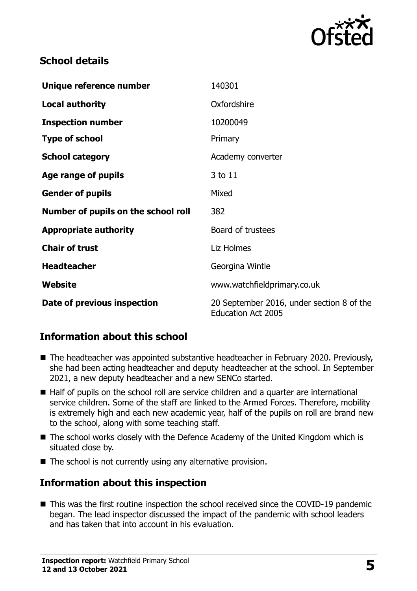

## **School details**

| Unique reference number             | 140301                                                                 |
|-------------------------------------|------------------------------------------------------------------------|
| <b>Local authority</b>              | Oxfordshire                                                            |
| <b>Inspection number</b>            | 10200049                                                               |
| <b>Type of school</b>               | Primary                                                                |
| <b>School category</b>              | Academy converter                                                      |
| Age range of pupils                 | 3 to 11                                                                |
| <b>Gender of pupils</b>             | Mixed                                                                  |
| Number of pupils on the school roll | 382                                                                    |
| <b>Appropriate authority</b>        | Board of trustees                                                      |
| <b>Chair of trust</b>               | Liz Holmes                                                             |
| <b>Headteacher</b>                  | Georgina Wintle                                                        |
| Website                             | www.watchfieldprimary.co.uk                                            |
| Date of previous inspection         | 20 September 2016, under section 8 of the<br><b>Education Act 2005</b> |

## **Information about this school**

- The headteacher was appointed substantive headteacher in February 2020. Previously, she had been acting headteacher and deputy headteacher at the school. In September 2021, a new deputy headteacher and a new SENCo started.
- Half of pupils on the school roll are service children and a quarter are international service children. Some of the staff are linked to the Armed Forces. Therefore, mobility is extremely high and each new academic year, half of the pupils on roll are brand new to the school, along with some teaching staff.
- The school works closely with the Defence Academy of the United Kingdom which is situated close by.
- $\blacksquare$  The school is not currently using any alternative provision.

#### **Information about this inspection**

■ This was the first routine inspection the school received since the COVID-19 pandemic began. The lead inspector discussed the impact of the pandemic with school leaders and has taken that into account in his evaluation.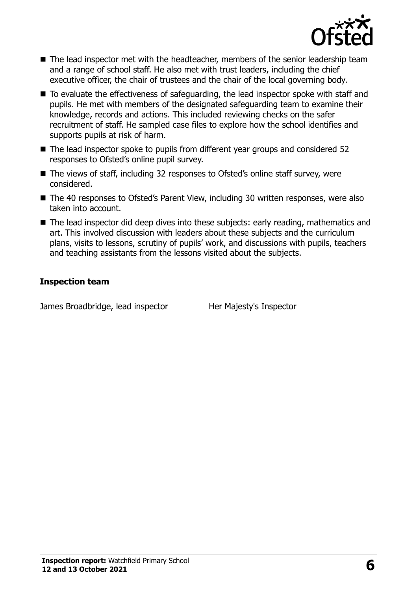

- The lead inspector met with the headteacher, members of the senior leadership team and a range of school staff. He also met with trust leaders, including the chief executive officer, the chair of trustees and the chair of the local governing body.
- To evaluate the effectiveness of safeguarding, the lead inspector spoke with staff and pupils. He met with members of the designated safeguarding team to examine their knowledge, records and actions. This included reviewing checks on the safer recruitment of staff. He sampled case files to explore how the school identifies and supports pupils at risk of harm.
- The lead inspector spoke to pupils from different year groups and considered 52 responses to Ofsted's online pupil survey.
- The views of staff, including 32 responses to Ofsted's online staff survey, were considered.
- The 40 responses to Ofsted's Parent View, including 30 written responses, were also taken into account.
- The lead inspector did deep dives into these subjects: early reading, mathematics and art. This involved discussion with leaders about these subjects and the curriculum plans, visits to lessons, scrutiny of pupils' work, and discussions with pupils, teachers and teaching assistants from the lessons visited about the subjects.

#### **Inspection team**

James Broadbridge, lead inspector **Her Majesty's Inspector**